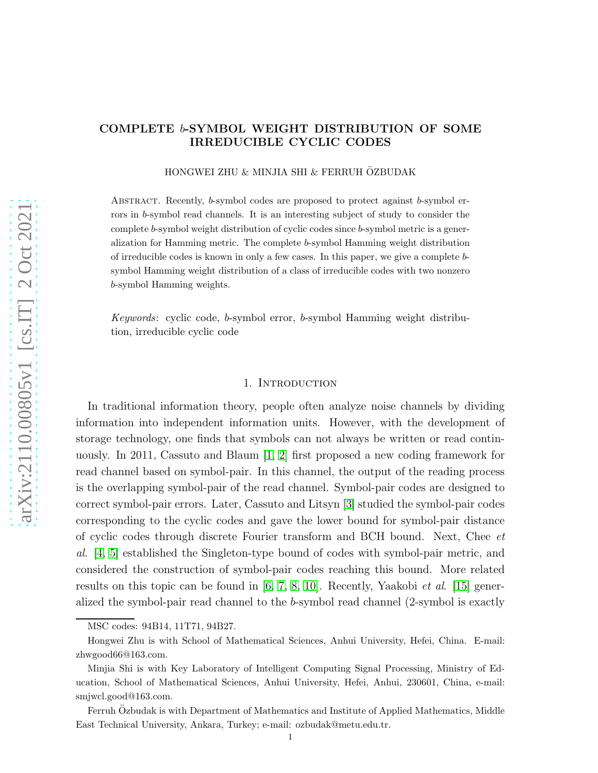# COMPLETE b-SYMBOL WEIGHT DISTRIBUTION OF SOME IRREDUCIBLE CYCLIC CODES

HONGWEI ZHU & MINJIA SHI & FERRUH ÖZBUDAK

Abstract. Recently, b-symbol codes are proposed to protect against b-symbol errors in b-symbol read channels. It is an interesting subject of study to consider the complete b-symbol weight distribution of cyclic codes since b-symbol metric is a generalization for Hamming metric. The complete b-symbol Hamming weight distribution of irreducible codes is known in only a few cases. In this paper, we give a complete bsymbol Hamming weight distribution of a class of irreducible codes with two nonzero b-symbol Hamming weights.

*Keywords*: cyclic code, b-symbol error, b-symbol Hamming weight distribution, irreducible cyclic code

#### 1. INTRODUCTION

In traditional information theory, people often analyze noise channels by dividing information into independent information units. However, with the development of storage technology, one finds that symbols can not always be written or read continuously. In 2011, Cassuto and Blaum [\[1,](#page-12-0) [2\]](#page-12-1) first proposed a new coding framework for read channel based on symbol-pair. In this channel, the output of the reading process is the overlapping symbol-pair of the read channel. Symbol-pair codes are designed to correct symbol-pair errors. Later, Cassuto and Litsyn [\[3\]](#page-12-2) studied the symbol-pair codes corresponding to the cyclic codes and gave the lower bound for symbol-pair distance of cyclic codes through discrete Fourier transform and BCH bound. Next, Chee *et al*. [\[4,](#page-12-3) [5\]](#page-12-4) established the Singleton-type bound of codes with symbol-pair metric, and considered the construction of symbol-pair codes reaching this bound. More related results on this topic can be found in [\[6,](#page-12-5) [7,](#page-12-6) [8,](#page-12-7) [10\]](#page-12-8). Recently, Yaakobi *et al*. [\[15\]](#page-12-9) generalized the symbol-pair read channel to the b-symbol read channel (2-symbol is exactly

MSC codes: 94B14, 11T71, 94B27.

Hongwei Zhu is with School of Mathematical Sciences, Anhui University, Hefei, China. E-mail: zhwgood66@163.com.

Minjia Shi is with Key Laboratory of Intelligent Computing Signal Processing, Ministry of Education, School of Mathematical Sciences, Anhui University, Hefei, Anhui, 230601, China, e-mail: smjwcl.good@163.com.

Ferruh Ozbudak is with Department of Mathematics and Institute of Applied Mathematics, Middle East Technical University, Ankara, Turkey; e-mail: ozbudak@metu.edu.tr.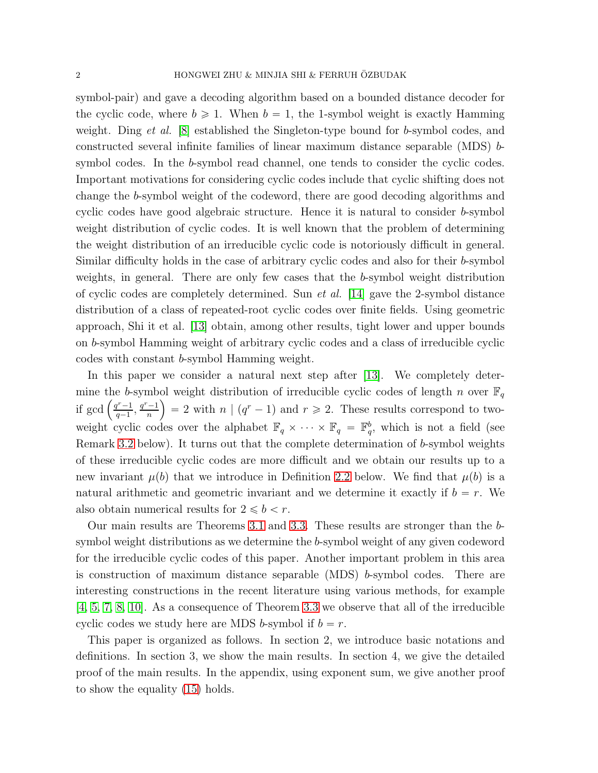symbol-pair) and gave a decoding algorithm based on a bounded distance decoder for the cyclic code, where  $b \ge 1$ . When  $b = 1$ , the 1-symbol weight is exactly Hamming weight. Ding *et al.* [\[8\]](#page-12-7) established the Singleton-type bound for b-symbol codes, and constructed several infinite families of linear maximum distance separable (MDS) bsymbol codes. In the b-symbol read channel, one tends to consider the cyclic codes. Important motivations for considering cyclic codes include that cyclic shifting does not change the b-symbol weight of the codeword, there are good decoding algorithms and cyclic codes have good algebraic structure. Hence it is natural to consider b-symbol weight distribution of cyclic codes. It is well known that the problem of determining the weight distribution of an irreducible cyclic code is notoriously difficult in general. Similar difficulty holds in the case of arbitrary cyclic codes and also for their b-symbol weights, in general. There are only few cases that the b-symbol weight distribution of cyclic codes are completely determined. Sun *et al.* [\[14\]](#page-12-10) gave the 2-symbol distance distribution of a class of repeated-root cyclic codes over finite fields. Using geometric approach, Shi it et al. [\[13\]](#page-12-11) obtain, among other results, tight lower and upper bounds on b-symbol Hamming weight of arbitrary cyclic codes and a class of irreducible cyclic codes with constant b-symbol Hamming weight.

In this paper we consider a natural next step after [\[13\]](#page-12-11). We completely determine the b-symbol weight distribution of irreducible cyclic codes of length n over  $\mathbb{F}_q$ if gcd  $\left(\frac{q^r-1}{q-1}\right)$  $\frac{q^r-1}{q-1}, \frac{q^r-1}{n}$  $\left(\frac{n-1}{n}\right)$  = 2 with  $n \mid (q^r - 1)$  and  $r \ge 2$ . These results correspond to twoweight cyclic codes over the alphabet  $\mathbb{F}_q \times \cdots \times \mathbb{F}_q = \mathbb{F}_q^b$ , which is not a field (see Remark [3.2](#page-5-0) below). It turns out that the complete determination of b-symbol weights of these irreducible cyclic codes are more difficult and we obtain our results up to a new invariant  $\mu(b)$  that we introduce in Definition [2.2](#page-3-0) below. We find that  $\mu(b)$  is a natural arithmetic and geometric invariant and we determine it exactly if  $b = r$ . We also obtain numerical results for  $2 \leq b < r$ .

Our main results are Theorems [3.1](#page-4-0) and [3.3.](#page-5-1) These results are stronger than the bsymbol weight distributions as we determine the b-symbol weight of any given codeword for the irreducible cyclic codes of this paper. Another important problem in this area is construction of maximum distance separable  $(MDS)$  b-symbol codes. There are interesting constructions in the recent literature using various methods, for example [\[4,](#page-12-3) [5,](#page-12-4) [7,](#page-12-6) [8,](#page-12-7) [10\]](#page-12-8). As a consequence of Theorem [3.3](#page-5-1) we observe that all of the irreducible cyclic codes we study here are MDS b-symbol if  $b = r$ .

This paper is organized as follows. In section 2, we introduce basic notations and definitions. In section 3, we show the main results. In section 4, we give the detailed proof of the main results. In the appendix, using exponent sum, we give another proof to show the equality [\(15\)](#page-9-0) holds.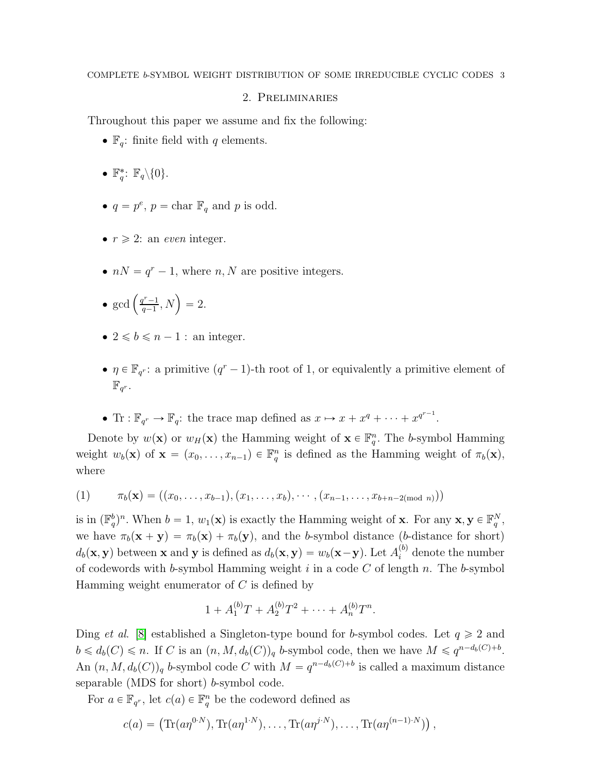# 2. Preliminaries

Throughout this paper we assume and fix the following:

- $\mathbb{F}_q$ : finite field with q elements.
- $\mathbb{F}_q^*$ :  $\mathbb{F}_q \backslash \{0\}$ .
- $q = p^e$ ,  $p = \text{char } \mathbb{F}_q$  and p is odd.
- $\bullet$   $r \geq 2$ : an *even* integer.
- $nN = q^r 1$ , where  $n, N$  are positive integers.
- $\bullet$  gcd  $\left(\frac{q^r-1}{q-1}\right)$  $\frac{q^{r}-1}{q-1}, N$  = 2.
- $2 \leq b \leq n-1$ : an integer.
- $\bullet$   $\eta \in \mathbb{F}_{q^r}$ : a primitive  $(q^r-1)$ -th root of 1, or equivalently a primitive element of  $\mathbb{F}_{q^r}.$
- Tr :  $\mathbb{F}_{q^r} \to \mathbb{F}_q$ : the trace map defined as  $x \mapsto x + x^q + \cdots + x^{q^{r-1}}$ .

Denote by  $w(\mathbf{x})$  or  $w_H(\mathbf{x})$  the Hamming weight of  $\mathbf{x} \in \mathbb{F}_q^n$ . The b-symbol Hamming weight  $w_b(\mathbf{x})$  of  $\mathbf{x} = (x_0, \dots, x_{n-1}) \in \mathbb{F}_q^n$  is defined as the Hamming weight of  $\pi_b(\mathbf{x})$ , where

<span id="page-2-0"></span>(1) 
$$
\pi_b(\mathbf{x}) = ((x_0, \ldots, x_{b-1}), (x_1, \ldots, x_b), \cdots, (x_{n-1}, \ldots, x_{b+n-2 \pmod{n}}))
$$

is in  $(\mathbb{F}_q^b)^n$ . When  $b = 1, w_1(\mathbf{x})$  is exactly the Hamming weight of **x**. For any **x**,  $\mathbf{y} \in \mathbb{F}_q^N$ , we have  $\pi_b(\mathbf{x} + \mathbf{y}) = \pi_b(\mathbf{x}) + \pi_b(\mathbf{y})$ , and the b-symbol distance (b-distance for short)  $d_b(\mathbf{x}, \mathbf{y})$  between **x** and **y** is defined as  $d_b(\mathbf{x}, \mathbf{y}) = w_b(\mathbf{x} - \mathbf{y})$ . Let  $A_i^{(b)}$  denote the number of codewords with b-symbol Hamming weight  $i$  in a code  $C$  of length  $n$ . The b-symbol Hamming weight enumerator of  $C$  is defined by

$$
1 + A_1^{(b)}T + A_2^{(b)}T^2 + \cdots + A_n^{(b)}T^n.
$$

Ding *et al.* [\[8\]](#page-12-7) established a Singleton-type bound for b-symbol codes. Let  $q \geq 2$  and  $b \leq d_b(C) \leq n$ . If C is an  $(n, M, d_b(C))_q$  b-symbol code, then we have  $M \leq q^{n-d_b(C)+b}$ . An  $(n, M, d_b(C))_q$  b-symbol code C with  $M = q^{n-d_b(C)+b}$  is called a maximum distance separable (MDS for short) b-symbol code.

For  $a \in \mathbb{F}_{q^r}$ , let  $c(a) \in \mathbb{F}_q^n$  be the codeword defined as

$$
c(a) = \left( \text{Tr}(a\eta^{0\cdot N}), \text{Tr}(a\eta^{1\cdot N}), \dots, \text{Tr}(a\eta^{j\cdot N}), \dots, \text{Tr}(a\eta^{(n-1)\cdot N}) \right),
$$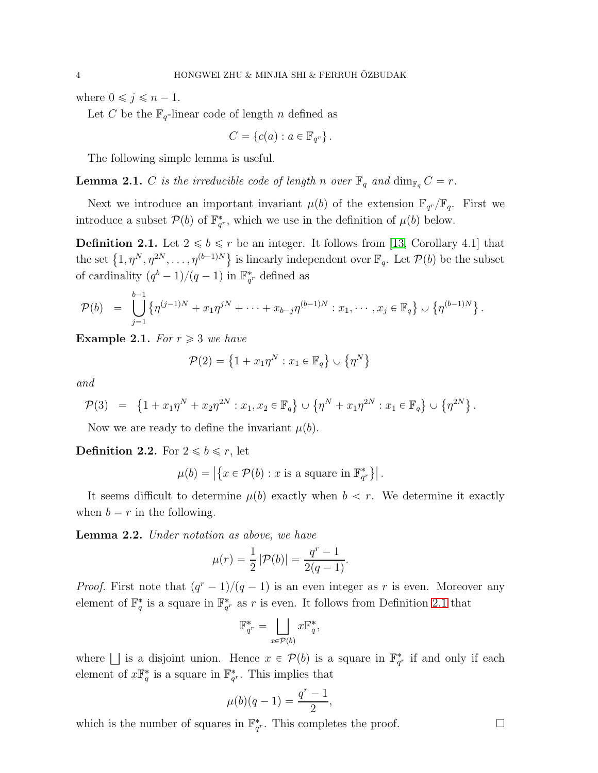where  $0 \leq j \leq n - 1$ .

Let C be the  $\mathbb{F}_q$ -linear code of length n defined as

$$
C = \{c(a) : a \in \mathbb{F}_{q^r}\}.
$$

The following simple lemma is useful.

**Lemma 2.1.** C is the irreducible code of length n over  $\mathbb{F}_q$  and  $\dim_{\mathbb{F}_q} C = r$ .

Next we introduce an important invariant  $\mu(b)$  of the extension  $\mathbb{F}_{q^r}/\mathbb{F}_q$ . First we introduce a subset  $\mathcal{P}(b)$  of  $\mathbb{F}_{q^r}^*$ , which we use in the definition of  $\mu(b)$  below.

<span id="page-3-1"></span>**Definition 2.1.** Let  $2 \le b \le r$  be an integer. It follows from [\[13,](#page-12-11) Corollary 4.1] that the set  $\{1, \eta^N, \eta^{2N}, \ldots, \eta^{(b-1)N}\}$  is linearly independent over  $\mathbb{F}_q$ . Let  $\mathcal{P}(b)$  be the subset of cardinality  $(q^b - 1)/(q - 1)$  in  $\mathbb{F}_{q^r}^*$  defined as

$$
\mathcal{P}(b) = \bigcup_{j=1}^{b-1} \left\{ \eta^{(j-1)N} + x_1 \eta^{jN} + \dots + x_{b-j} \eta^{(b-1)N} : x_1, \dots, x_j \in \mathbb{F}_q \right\} \cup \left\{ \eta^{(b-1)N} \right\}.
$$

**Example 2.1.** *For*  $r \geq 3$  *we have* 

$$
\mathcal{P}(2) = \left\{1 + x_1 \eta^N : x_1 \in \mathbb{F}_q\right\} \cup \left\{\eta^N\right\}
$$

*and*

$$
\mathcal{P}(3) = \left\{ 1 + x_1 \eta^N + x_2 \eta^{2N} : x_1, x_2 \in \mathbb{F}_q \right\} \cup \left\{ \eta^N + x_1 \eta^{2N} : x_1 \in \mathbb{F}_q \right\} \cup \left\{ \eta^{2N} \right\}.
$$

Now we are ready to define the invariant  $\mu(b)$ .

<span id="page-3-0"></span>**Definition 2.2.** For  $2 \leq b \leq r$ , let

$$
\mu(b) = |\{x \in \mathcal{P}(b) : x \text{ is a square in } \mathbb{F}_{q^r}^*\}|.
$$

It seems difficult to determine  $\mu(b)$  exactly when  $b < r$ . We determine it exactly when  $b = r$  in the following.

<span id="page-3-2"></span>Lemma 2.2. *Under notation as above, we have*

$$
\mu(r) = \frac{1}{2} |\mathcal{P}(b)| = \frac{q^r - 1}{2(q - 1)}.
$$

*Proof.* First note that  $(q^r - 1)/(q - 1)$  is an even integer as r is even. Moreover any element of  $\mathbb{F}_q^*$  is a square in  $\mathbb{F}_{q^r}^*$  as r is even. It follows from Definition [2.1](#page-3-1) that

$$
\mathbb{F}_{q^r}^* = \bigsqcup_{x \in \mathcal{P}(b)} x \mathbb{F}_q^*,
$$

where  $\Box$  is a disjoint union. Hence  $x \in \mathcal{P}(b)$  is a square in  $\mathbb{F}_{q^r}^*$  if and only if each element of  $x \mathbb{F}_q^*$  is a square in  $\mathbb{F}_{q^r}^*$ . This implies that

$$
\mu(b)(q-1) = \frac{q^r - 1}{2},
$$

which is the number of squares in  $\mathbb{F}_{q^r}^*$ . This completes the proof.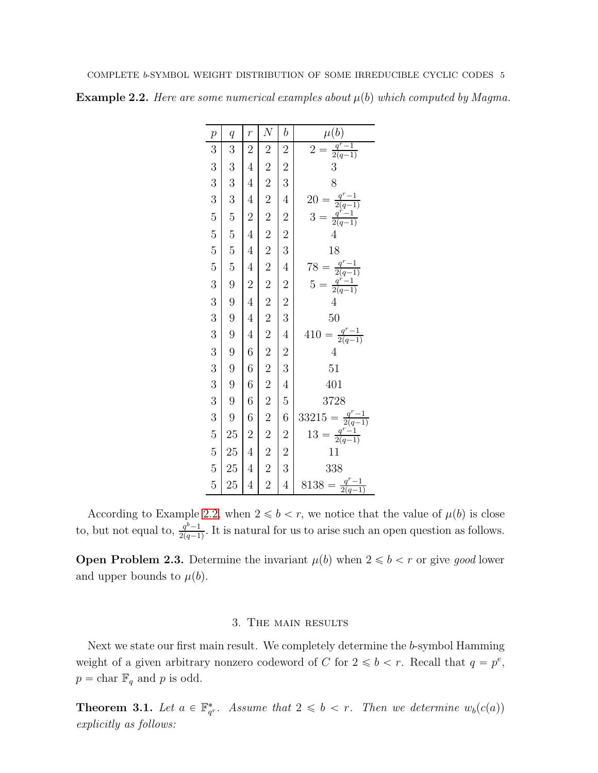<span id="page-4-1"></span>**Example 2.2.** *Here are some numerical examples about*  $\mu(b)$  *which computed by Magma.* 

| $\boldsymbol{p}$                                   | q               | $\overline{r}$   | $\overline{N}$ | $\it b$                                    | $\underline{\mu(b)}$                                                       |
|----------------------------------------------------|-----------------|------------------|----------------|--------------------------------------------|----------------------------------------------------------------------------|
| $\overline{3}$                                     | 3               | $\overline{2}$   | $\overline{2}$ | $\overline{\mathbf{c}}$                    | $=\frac{q^r-1}{2(q-1)}$<br>3<br>$\overline{2}$                             |
|                                                    |                 | $\overline{4}$   |                |                                            |                                                                            |
|                                                    | $\frac{3}{3}$   | $\overline{4}$   |                | $\frac{2}{3}$                              | 8                                                                          |
|                                                    | $\overline{3}$  | $\overline{4}$   |                | $\overline{4}$                             |                                                                            |
| $\begin{array}{c} 3 \\ 3 \\ 5 \end{array}$         | $\overline{5}$  | $\overline{c}$   |                |                                            | = $\frac{q^r - 1}{2(q-1)}$<br>= $\frac{q^r - 1}{2(q-1)}$<br>$\frac{20}{3}$ |
|                                                    |                 | $\overline{4}$   |                |                                            | $\overline{4}$                                                             |
|                                                    |                 | $\overline{4}$   |                | $\begin{array}{c} 2 \\ 2 \\ 3 \end{array}$ | 18                                                                         |
| $\frac{5}{5}$                                      | 55599           | $\overline{4}$   |                | $\overline{4}$                             | = $\frac{q^r - 1}{2(q-1)}$<br>= $\frac{q^r - 1}{2(q-1)}$                   |
| $\overline{3}$                                     |                 | $\overline{2}$   |                |                                            | $\frac{78}{5}$                                                             |
|                                                    |                 | $\overline{4}$   |                |                                            | $\overline{4}$                                                             |
| $\begin{array}{c} 3 \\ 3 \end{array}$              |                 | $\overline{4}$   |                |                                            | 50                                                                         |
|                                                    |                 | $\overline{4}$   |                | $2\ 2\ 3\ 4\ 2\ 3\ 4$                      | $\frac{q^r-1}{2(q-1)}$<br>410                                              |
|                                                    |                 | $\sqrt{6}$       |                |                                            | $\overline{4}$                                                             |
|                                                    | 9<br>9<br>9     | $\boldsymbol{6}$ |                |                                            | 51                                                                         |
|                                                    |                 | $\overline{6}$   |                |                                            | 401                                                                        |
|                                                    | 9<br>9          | $\boldsymbol{6}$ |                | $\overline{5}$                             | 3728                                                                       |
| $\begin{array}{c} 3 \\ 3 \\ 3 \\ 3 \\ \end{array}$ |                 | $\overline{6}$   |                | $\overline{6}$                             | 33215                                                                      |
|                                                    | $\frac{25}{25}$ | $\overline{2}$   |                |                                            | $5 = \frac{q^r - 1}{2(q-1)}$<br>= $\frac{q^r - 1}{2(q-1)}$<br>13           |
|                                                    |                 | $\overline{4}$   |                | $\begin{array}{c} 2 \\ 2 \\ 3 \end{array}$ | 11                                                                         |
| $\frac{5}{5}$                                      | 25              | $\overline{4}$   |                |                                            | 338                                                                        |
| $\overline{5}$                                     | 25              | $\overline{4}$   |                | $\overline{4}$                             | $\frac{q^r-1}{2(q-1)}$<br>8138                                             |

According to Example [2.2,](#page-4-1) when  $2 \leq b < r$ , we notice that the value of  $\mu(b)$  is close to, but not equal to,  $\frac{q^{b}-1}{2(q-1)}$  $\frac{q^{\circ}-1}{2(q-1)}$ . It is natural for us to arise such an open question as follows.

<span id="page-4-2"></span>**Open Problem 2.3.** Determine the invariant  $\mu(b)$  when  $2 \leq b \leq r$  or give good lower and upper bounds to  $\mu(b)$ .

# 3. The main results

Next we state our first main result. We completely determine the b-symbol Hamming weight of a given arbitrary nonzero codeword of C for  $2 \leq b < r$ . Recall that  $q = p^e$ ,  $p = \text{char } \mathbb{F}_q$  and p is odd.

<span id="page-4-0"></span>**Theorem 3.1.** Let  $a \in \mathbb{F}_{q^r}^*$ . Assume that  $2 \leq b < r$ . Then we determine  $w_b(c(a))$ *explicitly as follows:*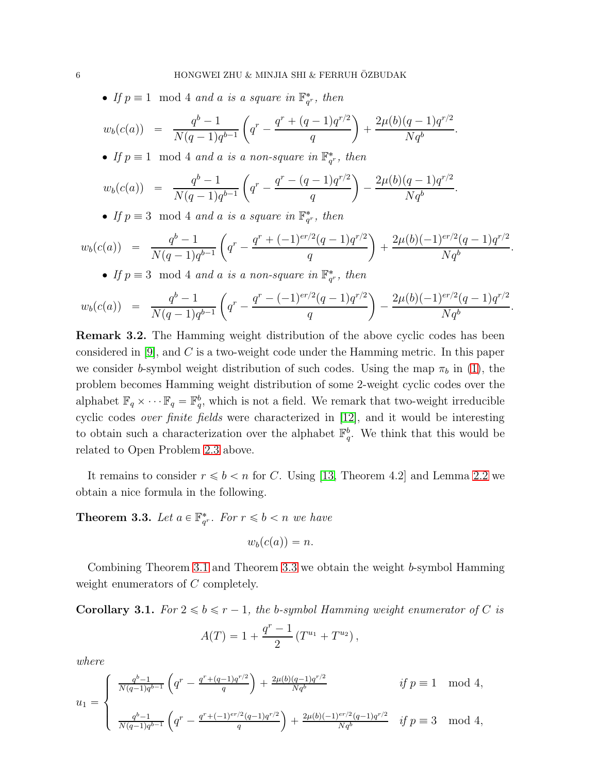• If  $p \equiv 1 \mod 4$  and a is a square in  $\mathbb{F}_{q^r}^*$ , then

$$
w_b(c(a)) = \frac{q^b - 1}{N(q-1)q^{b-1}} \left( q^r - \frac{q^r + (q-1)q^{r/2}}{q} \right) + \frac{2\mu(b)(q-1)q^{r/2}}{Nq^b}.
$$

• If  $p \equiv 1 \mod 4$  and a is a non-square in  $\mathbb{F}_{q^r}^*$ , then

$$
w_b(c(a)) = \frac{q^b - 1}{N(q-1)q^{b-1}} \left( q^r - \frac{q^r - (q-1)q^{r/2}}{q} \right) - \frac{2\mu(b)(q-1)q^{r/2}}{Nq^b}.
$$

• If  $p \equiv 3 \mod 4$  and a is a square in  $\mathbb{F}_{q^r}^*$ , then

$$
w_b(c(a)) = \frac{q^b - 1}{N(q-1)q^{b-1}} \left( q^r - \frac{q^r + (-1)^{er/2}(q-1)q^{r/2}}{q} \right) + \frac{2\mu(b)(-1)^{er/2}(q-1)q^{r/2}}{Nq^b}
$$

.

.

• If  $p \equiv 3 \mod 4$  and a *is a non-square in*  $\mathbb{F}_{q^r}^*$ , then

$$
w_b(c(a)) = \frac{q^b - 1}{N(q-1)q^{b-1}} \left( q^r - \frac{q^r - (-1)^{er/2}(q-1)q^{r/2}}{q} \right) - \frac{2\mu(b)(-1)^{er/2}(q-1)q^{r/2}}{Nq^b}
$$

<span id="page-5-0"></span>Remark 3.2. The Hamming weight distribution of the above cyclic codes has been considered in  $[9]$ , and C is a two-weight code under the Hamming metric. In this paper we consider b-symbol weight distribution of such codes. Using the map  $\pi_b$  in [\(1\)](#page-2-0), the problem becomes Hamming weight distribution of some 2-weight cyclic codes over the alphabet  $\mathbb{F}_q \times \cdots \mathbb{F}_q = \mathbb{F}_q^b$ , which is not a field. We remark that two-weight irreducible cyclic codes *over finite fields* were characterized in [\[12\]](#page-12-13), and it would be interesting to obtain such a characterization over the alphabet  $\mathbb{F}_q^b$ . We think that this would be related to Open Problem [2.3](#page-4-2) above.

It remains to consider  $r \leq b < n$  for C. Using [\[13,](#page-12-11) Theorem 4.2] and Lemma [2.2](#page-3-2) we obtain a nice formula in the following.

<span id="page-5-1"></span>**Theorem 3.3.** Let  $a \in \mathbb{F}_{q^r}^*$ . For  $r \leq b < n$  we have

$$
w_b(c(a))=n.
$$

Combining Theorem [3.1](#page-4-0) and Theorem [3.3](#page-5-1) we obtain the weight b-symbol Hamming weight enumerators of C completely.

<span id="page-5-2"></span>**Corollary 3.1.** *For*  $2 \le b \le r - 1$ *, the b-symbol Hamming weight enumerator of* C *is* 

$$
A(T) = 1 + \frac{q^{r} - 1}{2} (T^{u_1} + T^{u_2}),
$$

*where*

$$
u_1 = \begin{cases} \frac{q^b - 1}{N(q-1)q^{b-1}} \left( q^r - \frac{q^r + (q-1)q^{r/2}}{q} \right) + \frac{2\mu(b)(q-1)q^{r/2}}{Nq^b} & \text{if } p \equiv 1 \mod 4, \\ \frac{q^b - 1}{N(q-1)q^{b-1}} \left( q^r - \frac{q^r + (-1)^{er/2}(q-1)q^{r/2}}{q} \right) + \frac{2\mu(b)(-1)^{er/2}(q-1)q^{r/2}}{Nq^b} & \text{if } p \equiv 3 \mod 4, \end{cases}
$$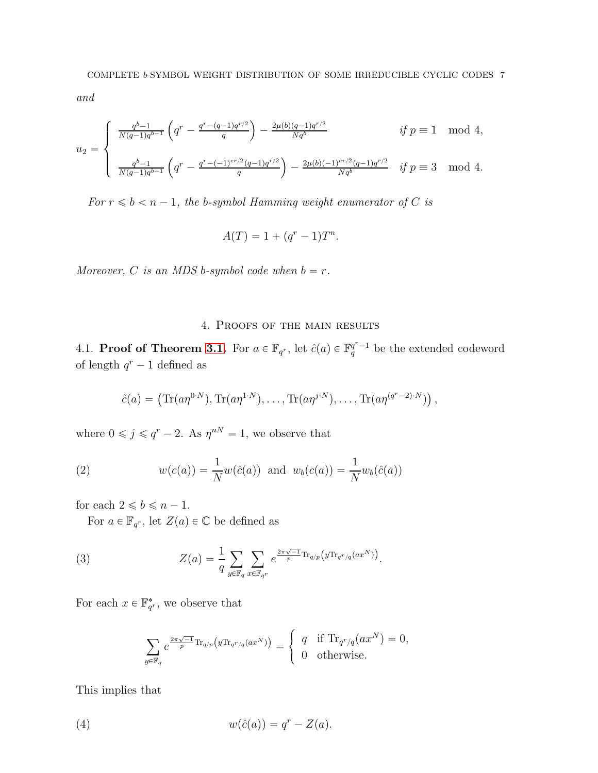*and*

$$
u_2 = \begin{cases} \frac{q^{b-1}}{N(q-1)q^{b-1}} \left( q^r - \frac{q^r - (q-1)q^{r/2}}{q} \right) - \frac{2\mu(b)(q-1)q^{r/2}}{Nq^b} & \text{if } p \equiv 1 \mod 4, \\ & \\ \frac{q^{b-1}}{N(q-1)q^{b-1}} \left( q^r - \frac{q^r - (-1)^{er/2}(q-1)q^{r/2}}{q} \right) - \frac{2\mu(b)(-1)^{er/2}(q-1)q^{r/2}}{Nq^b} & \text{if } p \equiv 3 \mod 4. \end{cases}
$$

*For*  $r \leq b < n - 1$ *, the b-symbol Hamming weight enumerator of C is* 

$$
A(T) = 1 + (q^r - 1)T^n.
$$

*Moreover,* C *is an MDS b*-symbol code when  $b = r$ .

# 4. Proofs of the main results

4.1. **Proof of Theorem [3.1.](#page-4-0)** For  $a \in \mathbb{F}_{q^r}$ , let  $\hat{c}(a) \in \mathbb{F}_q^{q^r-1}$  be the extended codeword of length  $q^r - 1$  defined as

<span id="page-6-2"></span>
$$
\hat{c}(a) = \left( \text{Tr}(a\eta^{0\cdot N}), \text{Tr}(a\eta^{1\cdot N}), \dots, \text{Tr}(a\eta^{j\cdot N}), \dots, \text{Tr}(a\eta^{(q^r-2)\cdot N}) \right),
$$

where  $0 \leq j \leq q^r - 2$ . As  $\eta^{nN} = 1$ , we observe that

(2) 
$$
w(c(a)) = \frac{1}{N}w(\hat{c}(a))
$$
 and  $w_b(c(a)) = \frac{1}{N}w_b(\hat{c}(a))$ 

for each  $2 \leq b \leq n - 1$ .

For  $a \in \mathbb{F}_{q^r}$ , let  $Z(a) \in \mathbb{C}$  be defined as

(3) 
$$
Z(a) = \frac{1}{q} \sum_{y \in \mathbb{F}_q} \sum_{x \in \mathbb{F}_{q^r}} e^{\frac{2\pi \sqrt{-1}}{p} \text{Tr}_{q/p} \left( y \text{Tr}_{q^r/q}(ax^N) \right)}.
$$

For each  $x \in \mathbb{F}_{q^r}^*$ , we observe that

<span id="page-6-1"></span><span id="page-6-0"></span>
$$
\sum_{y \in \mathbb{F}_q} e^{\frac{2\pi\sqrt{-1}}{p} \text{Tr}_{q/p}(y \text{Tr}_{q^r/q}(ax^N))} = \begin{cases} q & \text{if } \text{Tr}_{q^r/q}(ax^N) = 0, \\ 0 & \text{otherwise.} \end{cases}
$$

This implies that

(4) 
$$
w(\hat{c}(a)) = q^r - Z(a).
$$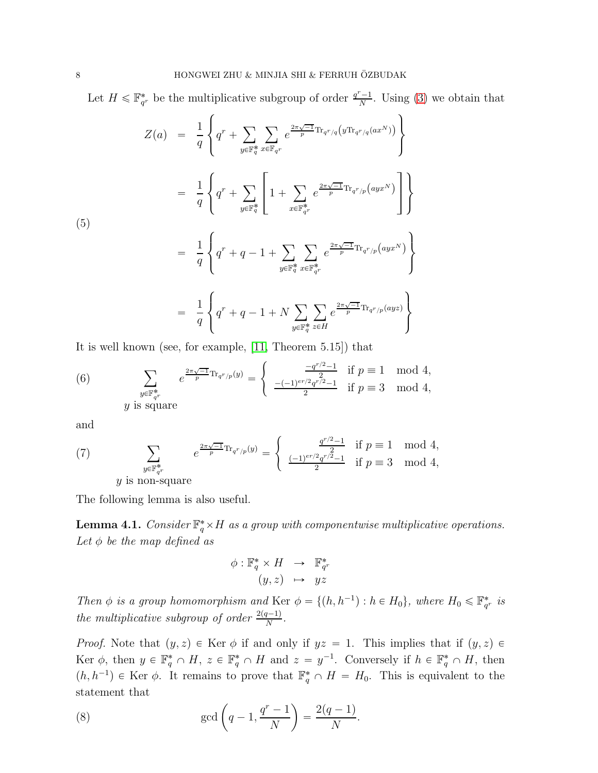Let  $H \leq \mathbb{F}_{q^r}^*$  be the multiplicative subgroup of order  $\frac{q^r-1}{N}$  $\frac{-1}{N}$ . Using [\(3\)](#page-6-0) we obtain that

<span id="page-7-2"></span>
$$
Z(a) = \frac{1}{q} \left\{ q^r + \sum_{y \in \mathbb{F}_q^*} \sum_{x \in \mathbb{F}_{q^r}} e^{\frac{2\pi\sqrt{-1}}{p} \text{Tr}_{q^r/q}(y \text{Tr}_{q^r/q}(ax^N))} \right\}
$$
  
\n
$$
= \frac{1}{q} \left\{ q^r + \sum_{y \in \mathbb{F}_q^*} \left[ 1 + \sum_{x \in \mathbb{F}_{q^r}^*} e^{\frac{2\pi\sqrt{-1}}{p} \text{Tr}_{q^r/p}(ayx^N)} \right] \right\}
$$
  
\n(5)  
\n
$$
= \frac{1}{q} \left\{ q^r + q - 1 + \sum_{y \in \mathbb{F}_q^*} \sum_{x \in \mathbb{F}_{q^r}^*} e^{\frac{2\pi\sqrt{-1}}{p} \text{Tr}_{q^r/p}(ayx^N)} \right\}
$$
  
\n
$$
= \frac{1}{q} \left\{ q^r + q - 1 + N \sum_{y \in \mathbb{F}_q^*} \sum_{z \in H} e^{\frac{2\pi\sqrt{-1}}{p} \text{Tr}_{q^r/p}(ayz)} \right\}
$$

It is well known (see, for example, [\[11,](#page-12-14) Theorem 5.15]) that

<span id="page-7-3"></span>(6) 
$$
\sum_{\substack{y \in \mathbb{F}_q^* \\ y \text{ is square}}} e^{\frac{2\pi\sqrt{-1}}{p} \text{Tr}_{q^r/p}(y)} = \begin{cases} \frac{-q^{r/2} - 1}{2} & \text{if } p \equiv 1 \mod 4, \\ \frac{-(-1)^{er/2} q^{r/2} - 1}{2} & \text{if } p \equiv 3 \mod 4, \end{cases}
$$

and

<span id="page-7-4"></span>(7) 
$$
\sum_{y \in \mathbb{F}_{q^r}^*} e^{\frac{2\pi \sqrt{-1}}{p} \text{Tr}_{q^r/p}(y)} = \begin{cases} \frac{q^{r/2} - 1}{2} & \text{if } p \equiv 1 \mod 4, \\ \frac{(-1)^{er/2} q^{r/2} - 1}{2} & \text{if } p \equiv 3 \mod 4, \end{cases}
$$
  
*y* is non-square

The following lemma is also useful.

<span id="page-7-1"></span>**Lemma 4.1.** *Consider*  $\mathbb{F}_q^* \times H$  *as a group with componentwise multiplicative operations.* Let  $\phi$  *be the map defined as* 

$$
\begin{array}{rcl}\n\phi: \mathbb{F}_q^* \times H & \to & \mathbb{F}_{q^r}^* \\
(y, z) & \mapsto & yz\n\end{array}
$$

*Then*  $\phi$  *is a group homomorphism and* Ker  $\phi = \{(h, h^{-1}) : h \in H_0\}$ , where  $H_0 \leq \mathbb{F}_{q^r}^*$  *is the multiplicative subgroup of order*  $\frac{2(q-1)}{N}$ *.* 

*Proof.* Note that  $(y, z) \in \text{Ker } \phi$  if and only if  $yz = 1$ . This implies that if  $(y, z) \in$ Ker  $\phi$ , then  $y \in \mathbb{F}_q^* \cap H$ ,  $z \in \mathbb{F}_q^* \cap H$  and  $z = y^{-1}$ . Conversely if  $h \in \mathbb{F}_q^* \cap H$ , then  $(h, h^{-1}) \in \text{Ker } \phi$ . It remains to prove that  $\mathbb{F}_q^* \cap H = H_0$ . This is equivalent to the statement that

<span id="page-7-0"></span>(8) 
$$
\gcd\left(q-1,\frac{q^r-1}{N}\right) = \frac{2(q-1)}{N}.
$$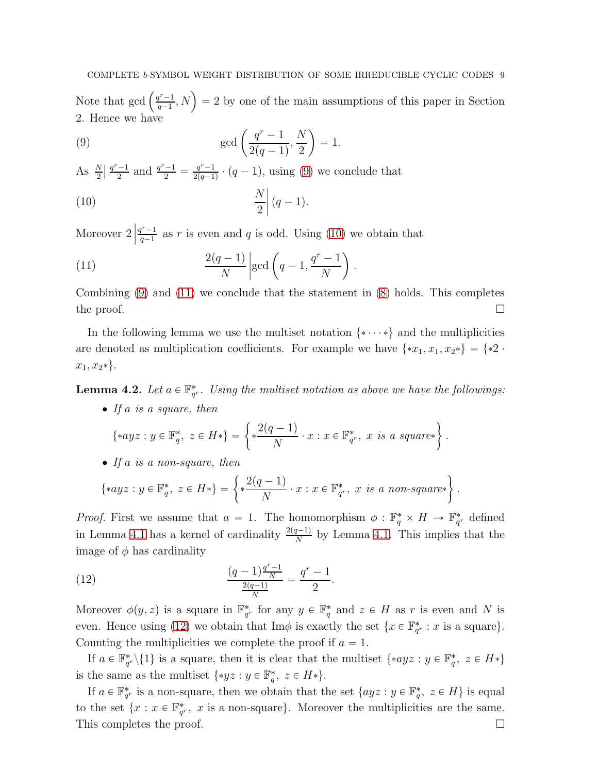Note that gcd  $\left(\frac{q^r-1}{q-1}\right)$  $\left(\frac{p^{r}-1}{q-1}, N\right) = 2$  by one of the main assumptions of this paper in Section 2. Hence we have

<span id="page-8-0"></span>(9) 
$$
\gcd\left(\frac{q^r - 1}{2(q - 1)}, \frac{N}{2}\right) = 1.
$$

As  $\frac{N}{2}$  $\frac{q^r-1}{2}$  and  $\frac{q^r-1}{2} = \frac{q^r-1}{2(q-1)}$  $\frac{q'-1}{2(q-1)} \cdot (q-1)$ , using [\(9\)](#page-8-0) we conclude that

<span id="page-8-1"></span>
$$
\frac{N}{2}\left| \left( q-1\right) \right|
$$

Moreover  $2 \nvert$  $q^r-1$  $q^{\prime}\frac{-1}{q-1}$  as r is even and q is odd. Using [\(10\)](#page-8-1) we obtain that

<span id="page-8-2"></span>(11) 
$$
\frac{2(q-1)}{N} \left| \gcd\left(q-1, \frac{q^r - 1}{N}\right) \right|.
$$

Combining  $(9)$  and  $(11)$  we conclude that the statement in  $(8)$  holds. This completes the proof.  $\Box$ 

In the following lemma we use the multiset notation  $\{*\cdots*\}$  and the multiplicities are denoted as multiplication coefficients. For example we have  $\{x_1, x_1, x_2\} = \{*2$ .  $x_1, x_2*\}.$ 

<span id="page-8-4"></span>**Lemma 4.2.** Let  $a \in \mathbb{F}_{q^r}^*$ . Using the multiset notation as above we have the followings:

.

' *If* a *is a square, then*

$$
\{ \ast ayz : y \in \mathbb{F}_q^*, \ z \in H \ast \} = \left\{ \ast \frac{2(q-1)}{N} \cdot x : x \in \mathbb{F}_{q^r}^*, \ x \ \text{is a square*} \right\}
$$

' *If* a *is a non-square, then*

$$
\{*ayz: y \in \mathbb{F}_q^*, z \in H*\} = \left\{\ast \frac{2(q-1)}{N} \cdot x: x \in \mathbb{F}_{q^r}^*, x \text{ is a non-square*}\right\}.
$$

*Proof.* First we assume that  $a = 1$ . The homomorphism  $\phi : \mathbb{F}_q^* \times H \to \mathbb{F}_{q^r}^*$  defined in Lemma [4.1](#page-7-1) has a kernel of cardinality  $\frac{2(q-1)}{N}$  by Lemma [4.1.](#page-7-1) This implies that the image of  $\phi$  has cardinality

<span id="page-8-3"></span>(12) 
$$
\frac{(q-1)\frac{q^r-1}{N}}{\frac{2(q-1)}{N}} = \frac{q^r-1}{2}.
$$

Moreover  $\phi(y, z)$  is a square in  $\mathbb{F}_{q^r}^*$  for any  $y \in \mathbb{F}_q^*$  and  $z \in H$  as r is even and N is even. Hence using [\(12\)](#page-8-3) we obtain that  $\text{Im}\phi$  is exactly the set  $\{x \in \mathbb{F}_{q^r}^* : x \text{ is a square}\}.$ Counting the multiplicities we complete the proof if  $a = 1$ .

If  $a \in \mathbb{F}_{q^r}^* \setminus \{1\}$  is a square, then it is clear that the multiset  $\{*ayz : y \in \mathbb{F}_q^*, z \in H^*\}$ is the same as the multiset  $\{ *yz : y \in \mathbb{F}_q^*, z \in H* \}.$ 

If  $a \in \mathbb{F}_{q^r}^*$  is a non-square, then we obtain that the set  $\{ayz : y \in \mathbb{F}_q^*, z \in H\}$  is equal to the set  $\{x : x \in \mathbb{F}_{q^r}^*, x \text{ is a non-square}\}\.$  Moreover the multiplicities are the same. This completes the proof.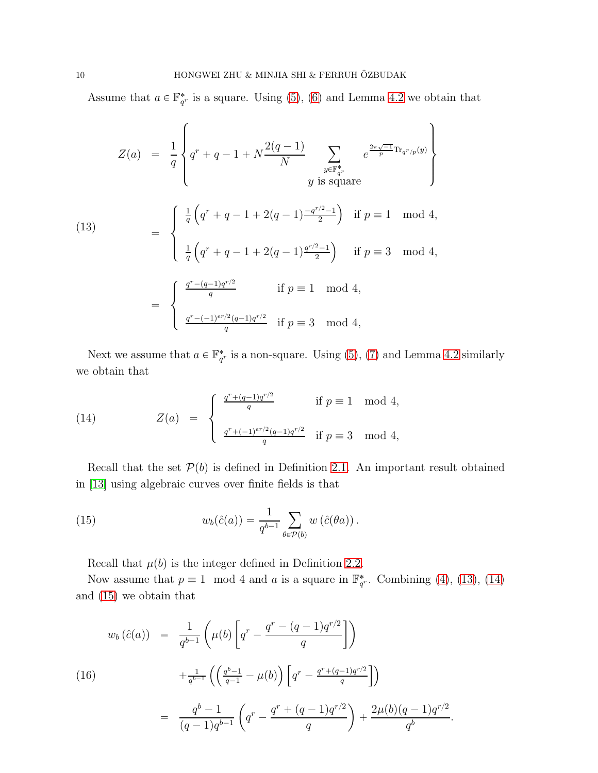Assume that  $a \in \mathbb{F}_{q^r}^*$  is a square. Using [\(5\)](#page-7-2), [\(6\)](#page-7-3) and Lemma [4.2](#page-8-4) we obtain that

<span id="page-9-1"></span>(13)  
\n
$$
Z(a) = \frac{1}{q} \left\{ q^r + q - 1 + N \frac{2(q-1)}{N} \sum_{\substack{y \in \mathbb{F}_{q^r}^* \\ y \text{ is square}}} e^{\frac{2\pi \sqrt{-1}}{p} \text{Tr}_{q^r/p}(y)} \right\}
$$
\n
$$
= \begin{cases}\n\frac{1}{q} \left( q^r + q - 1 + 2(q-1) \frac{-q^{r/2} - 1}{2} \right) & \text{if } p \equiv 1 \mod 4, \\
\frac{1}{q} \left( q^r + q - 1 + 2(q-1) \frac{q^{r/2} - 1}{2} \right) & \text{if } p \equiv 3 \mod 4, \\
\frac{q^r - (q-1)q^{r/2}}{q} & \text{if } p \equiv 1 \mod 4, \\
\frac{q^r - (-1)^{er/2}(q-1)q^{r/2}}{q} & \text{if } p \equiv 3 \mod 4,\n\end{cases}
$$

Next we assume that  $a \in \mathbb{F}_{q^r}^*$  is a non-square. Using [\(5\)](#page-7-2), [\(7\)](#page-7-4) and Lemma [4.2](#page-8-4) similarly we obtain that

<span id="page-9-2"></span>(14) 
$$
Z(a) = \begin{cases} \frac{q^r + (q-1)q^{r/2}}{q} & \text{if } p \equiv 1 \mod 4, \\ \frac{q^r + (-1)^{er/2}(q-1)q^{r/2}}{q} & \text{if } p \equiv 3 \mod 4, \end{cases}
$$

Recall that the set  $P(b)$  is defined in Definition [2.1.](#page-3-1) An important result obtained in [\[13\]](#page-12-11) using algebraic curves over finite fields is that

(15) 
$$
w_b(\hat{c}(a)) = \frac{1}{q^{b-1}} \sum_{\theta \in \mathcal{P}(b)} w(\hat{c}(\theta a)).
$$

<span id="page-9-0"></span>Recall that  $\mu(b)$  is the integer defined in Definition [2.2.](#page-3-0)

Now assume that  $p \equiv 1 \mod 4$  and a is a square in  $\mathbb{F}_{q^r}^*$ . Combining [\(4\)](#page-6-1), [\(13\)](#page-9-1), [\(14\)](#page-9-2) and [\(15\)](#page-9-0) we obtain that

<span id="page-9-3"></span>(16)  

$$
w_b(\hat{c}(a)) = \frac{1}{q^{b-1}} \left( \mu(b) \left[ q^r - \frac{q^r - (q-1)q^{r/2}}{q} \right] \right)
$$

$$
+ \frac{1}{q^{b-1}} \left( \left( \frac{q^b - 1}{q - 1} - \mu(b) \right) \left[ q^r - \frac{q^r + (q-1)q^{r/2}}{q} \right] \right)
$$

$$
= \frac{q^b - 1}{(q-1)q^{b-1}} \left( q^r - \frac{q^r + (q-1)q^{r/2}}{q} \right) + \frac{2\mu(b)(q-1)q^{r/2}}{q^b}.
$$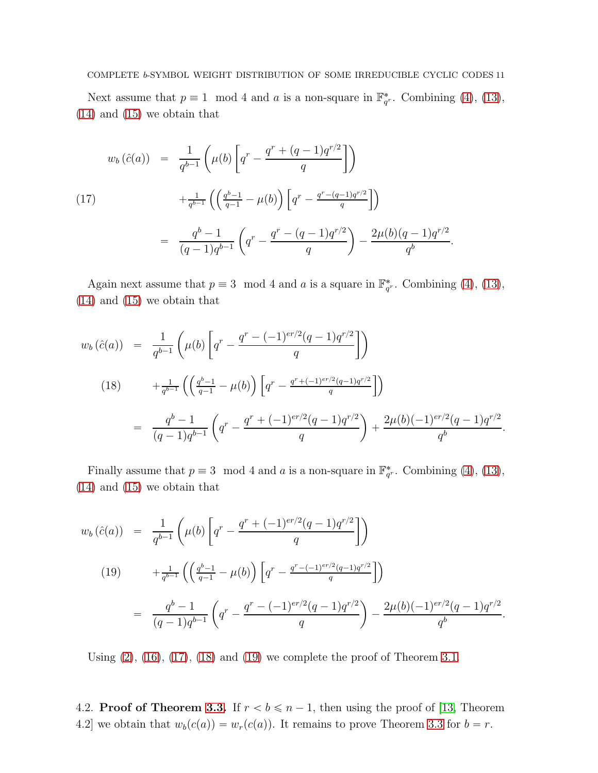Next assume that  $p \equiv 1 \mod 4$  and a is a non-square in  $\mathbb{F}_{q^r}^*$ . Combining [\(4\)](#page-6-1), [\(13\)](#page-9-1), [\(14\)](#page-9-2) and [\(15\)](#page-9-0) we obtain that

<span id="page-10-0"></span>(17)  

$$
w_b(\hat{c}(a)) = \frac{1}{q^{b-1}} \left( \mu(b) \left[ q^r - \frac{q^r + (q-1)q^{r/2}}{q} \right] \right)
$$

$$
+ \frac{1}{q^{b-1}} \left( \left( \frac{q^b - 1}{q - 1} - \mu(b) \right) \left[ q^r - \frac{q^r - (q-1)q^{r/2}}{q} \right] \right)
$$

$$
= \frac{q^b - 1}{(q-1)q^{b-1}} \left( q^r - \frac{q^r - (q-1)q^{r/2}}{q} \right) - \frac{2\mu(b)(q-1)q^{r/2}}{q^b}.
$$

Again next assume that  $p \equiv 3 \mod 4$  and a is a square in  $\mathbb{F}_{q^r}^*$ . Combining [\(4\)](#page-6-1), [\(13\)](#page-9-1), [\(14\)](#page-9-2) and [\(15\)](#page-9-0) we obtain that

<span id="page-10-1"></span>
$$
w_b(\hat{c}(a)) = \frac{1}{q^{b-1}} \left( \mu(b) \left[ q^r - \frac{q^r - (-1)^{er/2} (q-1) q^{r/2}}{q} \right] \right)
$$
  
\n
$$
(18) + \frac{1}{q^{b-1}} \left( \left( \frac{q^b - 1}{q - 1} - \mu(b) \right) \left[ q^r - \frac{q^r + (-1)^{er/2} (q-1) q^{r/2}}{q} \right] \right)
$$
  
\n
$$
= \frac{q^b - 1}{(q-1) q^{b-1}} \left( q^r - \frac{q^r + (-1)^{er/2} (q-1) q^{r/2}}{q} \right) + \frac{2\mu(b) (-1)^{er/2} (q-1) q^{r/2}}{q^b}.
$$

Finally assume that  $p \equiv 3 \mod 4$  and a is a non-square in  $\mathbb{F}_{q^r}^*$ . Combining [\(4\)](#page-6-1), [\(13\)](#page-9-1), [\(14\)](#page-9-2) and [\(15\)](#page-9-0) we obtain that

<span id="page-10-2"></span>
$$
w_b(\hat{c}(a)) = \frac{1}{q^{b-1}} \left( \mu(b) \left[ q^r - \frac{q^r + (-1)^{er/2} (q-1) q^{r/2}}{q} \right] \right)
$$
  
\n
$$
(19) \qquad + \frac{1}{q^{b-1}} \left( \left( \frac{q^b - 1}{q - 1} - \mu(b) \right) \left[ q^r - \frac{q^r - (-1)^{er/2} (q-1) q^{r/2}}{q} \right] \right)
$$
  
\n
$$
= \frac{q^b - 1}{(q-1) q^{b-1}} \left( q^r - \frac{q^r - (-1)^{er/2} (q-1) q^{r/2}}{q} \right) - \frac{2\mu(b) (-1)^{er/2} (q-1) q^{r/2}}{q^b}.
$$

Using  $(2)$ ,  $(16)$ ,  $(17)$ ,  $(18)$  and  $(19)$  we complete the proof of Theorem [3.1.](#page-4-0)

4.2. Proof of Theorem [3.3.](#page-5-1) If  $r < b \le n - 1$ , then using the proof of [\[13,](#page-12-11) Theorem 4.2] we obtain that  $w_b(c(a)) = w_r(c(a))$ . It remains to prove Theorem [3.3](#page-5-1) for  $b = r$ .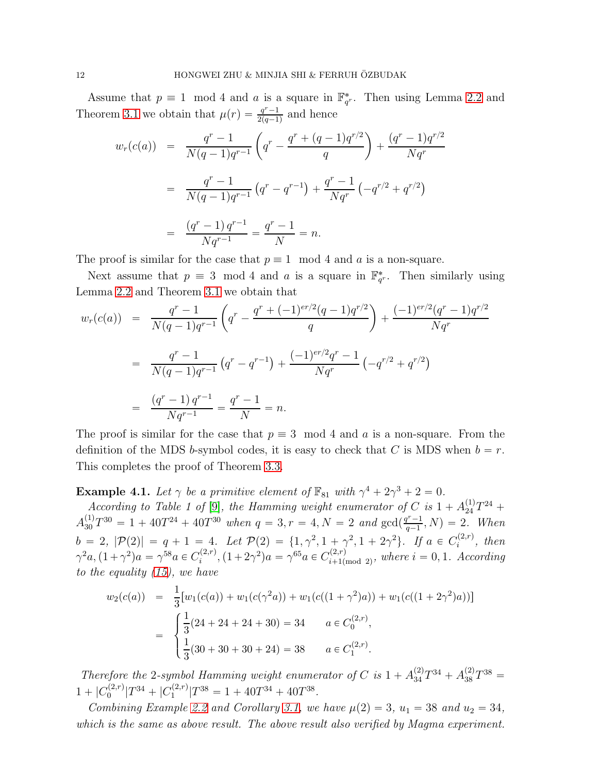Assume that  $p \equiv 1 \mod 4$  and a is a square in  $\mathbb{F}_{q^r}^*$ . Then using Lemma [2.2](#page-3-2) and Theorem [3.1](#page-4-0) we obtain that  $\mu(r) = \frac{q^r - 1}{2(a-1)}$  $\frac{q'-1}{2(q-1)}$  and hence

$$
w_r(c(a)) = \frac{q^r - 1}{N(q - 1)q^{r-1}} \left( q^r - \frac{q^r + (q - 1)q^{r/2}}{q} \right) + \frac{(q^r - 1)q^{r/2}}{Nq^r}
$$

$$
= \frac{q^r - 1}{N(q - 1)q^{r-1}} \left( q^r - q^{r-1} \right) + \frac{q^r - 1}{Nq^r} \left( -q^{r/2} + q^{r/2} \right)
$$

$$
= \frac{(q^r - 1)q^{r-1}}{Nq^{r-1}} = \frac{q^r - 1}{N} = n.
$$

The proof is similar for the case that  $p \equiv 1 \mod 4$  and a is a non-square.

Next assume that  $p \equiv 3 \mod 4$  and a is a square in  $\mathbb{F}_{q^r}^*$ . Then similarly using Lemma [2.2](#page-3-2) and Theorem [3.1](#page-4-0) we obtain that

$$
w_r(c(a)) = \frac{q^r - 1}{N(q - 1)q^{r-1}} \left( q^r - \frac{q^r + (-1)^{er/2}(q - 1)q^{r/2}}{q} \right) + \frac{(-1)^{er/2}(q^r - 1)q^{r/2}}{Nq^r}
$$
  

$$
= \frac{q^r - 1}{N(q - 1)q^{r-1}} \left( q^r - q^{r-1} \right) + \frac{(-1)^{er/2}q^r - 1}{Nq^r} \left( -q^{r/2} + q^{r/2} \right)
$$
  

$$
= \frac{(q^r - 1)q^{r-1}}{Nq^{r-1}} = \frac{q^r - 1}{N} = n.
$$

The proof is similar for the case that  $p \equiv 3 \mod 4$  and a is a non-square. From the definition of the MDS b-symbol codes, it is easy to check that C is MDS when  $b = r$ . This completes the proof of Theorem [3.3.](#page-5-1)

**Example 4.1.** Let  $\gamma$  be a primitive element of  $\mathbb{F}_{81}$  with  $\gamma^4 + 2\gamma^3 + 2 = 0$ .

*According to Table 1 of* [\[9\]](#page-12-12)*, the Hamming weight enumerator of* C *is*  $1 + A_{24}^{(1)}T^{24} +$  $A_{30}^{(1)}T^{30} = 1 + 40T^{24} + 40T^{30}$  when  $q = 3, r = 4, N = 2$  and  $gcd(\frac{q^r-1}{q-1})$  $\frac{q^{r}-1}{q-1}, N) = 2$ . When  $b = 2, |\mathcal{P}(2)| = q + 1 = 4.$  Let  $\mathcal{P}(2) = \{1, \gamma^2, 1 + \gamma^2, 1 + 2\gamma^2\}.$  If  $a \in C_i^{(2,r)}$  $i^{(2,r)}$ , then  $\gamma^2 a, (1 + \gamma^2)a = \gamma^{58} a \in C_i^{(2,r)}$  $\gamma_i^{(2,r)}$ ,  $(1+2\gamma^2)a = \gamma^{65}a \in C_{i+1(i)}^{(2,r)}$  $\lim_{i+1 \text{ (mod } 2)}$ , where  $i = 0, 1$ . According *to the equality [\(15\)](#page-9-0), we have*

$$
w_2(c(a)) = \frac{1}{3} [w_1(c(a)) + w_1(c(\gamma^2 a)) + w_1(c((1 + \gamma^2)a)) + w_1(c((1 + 2\gamma^2)a))]
$$
  
= 
$$
\begin{cases} \frac{1}{3}(24 + 24 + 24 + 30) = 34 & a \in C_0^{(2,r)}, \\ \frac{1}{3}(30 + 30 + 30 + 24) = 38 & a \in C_1^{(2,r)}. \end{cases}
$$

*Therefore the* 2-symbol Hamming weight enumerator of C is  $1 + A_{34}^{(2)}T^{34} + A_{38}^{(2)}T^{38} =$  $1 + |C_0^{(2,r)}|T^{34} + |C_1^{(2,r)}|T^{38} = 1 + 40T^{34} + 40T^{38}.$ 

*Combining Example* [2.2](#page-4-1) *and Corollary* [3.1,](#page-5-2) *we have*  $\mu(2) = 3$ ,  $u_1 = 38$  *and*  $u_2 = 34$ , *which is the same as above result. The above result also verified by Magma experiment.*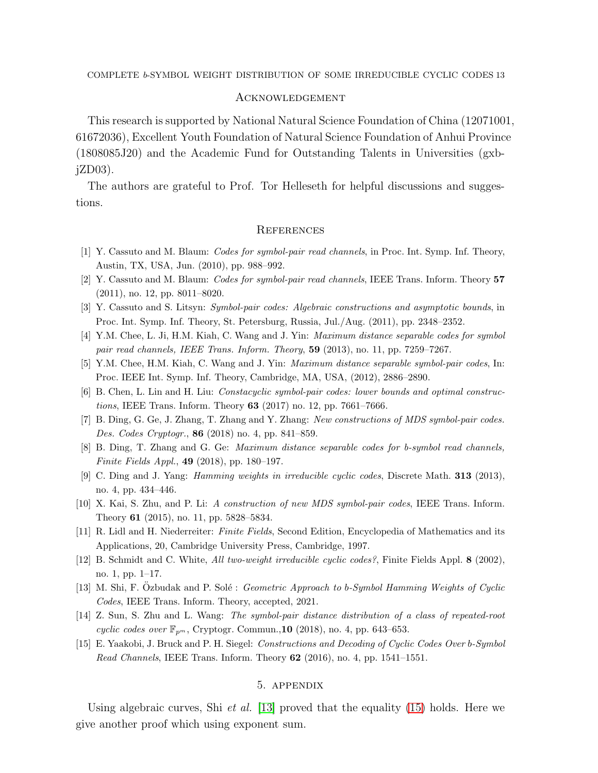## **ACKNOWLEDGEMENT**

This research is supported by National Natural Science Foundation of China (12071001, 61672036), Excellent Youth Foundation of Natural Science Foundation of Anhui Province (1808085J20) and the Academic Fund for Outstanding Talents in Universities (gxb $jZD03$ ).

The authors are grateful to Prof. Tor Helleseth for helpful discussions and suggestions.

#### **REFERENCES**

- <span id="page-12-1"></span><span id="page-12-0"></span>[1] Y. Cassuto and M. Blaum: *Codes for symbol-pair read channels*, in Proc. Int. Symp. Inf. Theory, Austin, TX, USA, Jun. (2010), pp. 988–992.
- <span id="page-12-2"></span>[2] Y. Cassuto and M. Blaum: *Codes for symbol-pair read channels*, IEEE Trans. Inform. Theory 57 (2011), no. 12, pp. 8011–8020.
- <span id="page-12-3"></span>[3] Y. Cassuto and S. Litsyn: *Symbol-pair codes: Algebraic constructions and asymptotic bounds*, in Proc. Int. Symp. Inf. Theory, St. Petersburg, Russia, Jul./Aug. (2011), pp. 2348–2352.
- <span id="page-12-4"></span>[4] Y.M. Chee, L. Ji, H.M. Kiah, C. Wang and J. Yin: *Maximum distance separable codes for symbol pair read channels, IEEE Trans. Inform. Theory*, 59 (2013), no. 11, pp. 7259–7267.
- <span id="page-12-5"></span>[5] Y.M. Chee, H.M. Kiah, C. Wang and J. Yin: *Maximum distance separable symbol-pair codes*, In: Proc. IEEE Int. Symp. Inf. Theory, Cambridge, MA, USA, (2012), 2886–2890.
- <span id="page-12-6"></span>[6] B. Chen, L. Lin and H. Liu: *Constacyclic symbol-pair codes: lower bounds and optimal constructions*, IEEE Trans. Inform. Theory 63 (2017) no. 12, pp. 7661–7666.
- <span id="page-12-7"></span>[7] B. Ding, G. Ge, J. Zhang, T. Zhang and Y. Zhang: *New constructions of MDS symbol-pair codes. Des. Codes Cryptogr.*, 86 (2018) no. 4, pp. 841–859.
- <span id="page-12-12"></span>[8] B. Ding, T. Zhang and G. Ge: *Maximum distance separable codes for b-symbol read channels, Finite Fields Appl.*, 49 (2018), pp. 180–197.
- <span id="page-12-8"></span>[9] C. Ding and J. Yang: *Hamming weights in irreducible cyclic codes*, Discrete Math. 313 (2013), no. 4, pp. 434–446.
- <span id="page-12-14"></span>[10] X. Kai, S. Zhu, and P. Li: *A construction of new MDS symbol-pair codes*, IEEE Trans. Inform. Theory 61 (2015), no. 11, pp. 5828–5834.
- <span id="page-12-13"></span>[11] R. Lidl and H. Niederreiter: *Finite Fields*, Second Edition, Encyclopedia of Mathematics and its Applications, 20, Cambridge University Press, Cambridge, 1997.
- <span id="page-12-11"></span>[12] B. Schmidt and C. White, *All two-weight irreducible cyclic codes?*, Finite Fields Appl. 8 (2002), no. 1, pp. 1–17.
- <span id="page-12-10"></span>[13] M. Shi, F. Ozbudak and P. Solé : *Geometric Approach to b-Symbol Hamming Weights of Cyclic Codes*, IEEE Trans. Inform. Theory, accepted, 2021.
- <span id="page-12-9"></span>[14] Z. Sun, S. Zhu and L. Wang: *The symbol-pair distance distribution of a class of repeated-root cyclic codes over*  $\mathbb{F}_{p^m}$ , Cryptogr. Commun., **10** (2018), no. 4, pp. 643–653.
- [15] E. Yaakobi, J. Bruck and P. H. Siegel: *Constructions and Decoding of Cyclic Codes Over* b*-Symbol Read Channels*, IEEE Trans. Inform. Theory 62 (2016), no. 4, pp. 1541–1551.

# 5. appendix

Using algebraic curves, Shi *et al.* [\[13\]](#page-12-11) proved that the equality [\(15\)](#page-9-0) holds. Here we give another proof which using exponent sum.